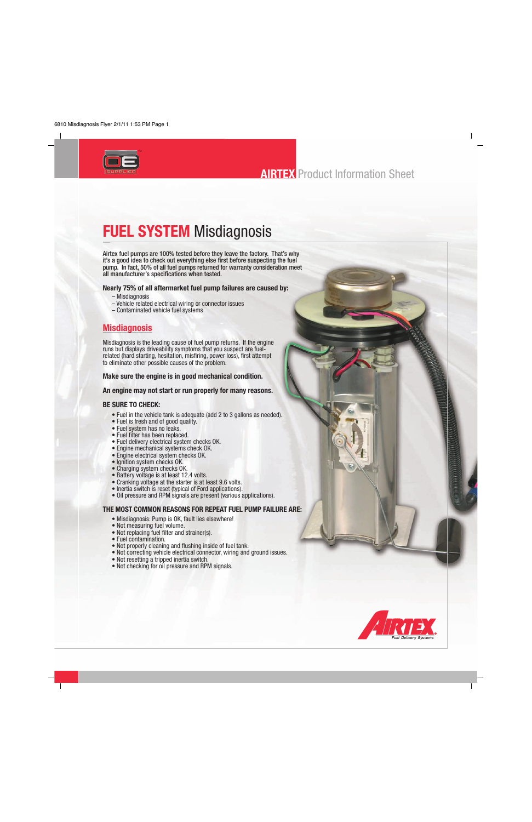

# **FUEL SYSTEM** Misdiagnosis

Airtex fuel pumps are 100% tested before they leave the factory. That's why it's a good idea to check out everything else first before suspecting the fuel pump. In fact, 50% of all fuel pumps returned for warranty consideration meet all manufacturer's specifications when tested.

#### **Nearly 75% of all aftermarket fuel pump failures are caused by:**

- Misdiagnosis
- Vehicle related electrical wiring or connector issues
- Contaminated vehicle fuel systems

## **Misdiagnosis**

Misdiagnosis is the leading cause of fuel pump returns. If the engine runs but displays driveability symptoms that you suspect are fuelrelated (hard starting, hesitation, misfiring, power loss), first attempt to eliminate other possible causes of the problem.

### **Make sure the engine is in good mechanical condition.**

### **An engine may not start or run properly for many reasons.**

### **BE SURE TO CHECK:**

- Fuel in the vehicle tank is adequate (add 2 to 3 gallons as needed).
- Fuel is fresh and of good quality.
- Fuel system has no leaks.
- Fuel filter has been replaced.
- Fuel delivery electrical system checks OK.
- Engine mechanical systems check OK.
- Engine electrical system checks OK.
- Ignition system checks OK.
- Charging system checks OK.
- Battery voltage is at least 12.4 volts.
- Cranking voltage at the starter is at least 9.6 volts.
- Inertia switch is reset (typical of Ford applications).
- Oil pressure and RPM signals are present (various applications).

### **THE MOST COMMON REASONS FOR REPEAT FUEL PUMP FAILURE ARE:**

- Misdiagnosis: Pump is OK, fault lies elsewhere!
- Not measuring fuel volume.
- Not replacing fuel filter and strainer(s).
- Fuel contamination.
- Not properly cleaning and flushing inside of fuel tank.
- Not correcting vehicle electrical connector, wiring and ground issues.
- Not resetting a tripped inertia switch.
- Not checking for oil pressure and RPM signals.